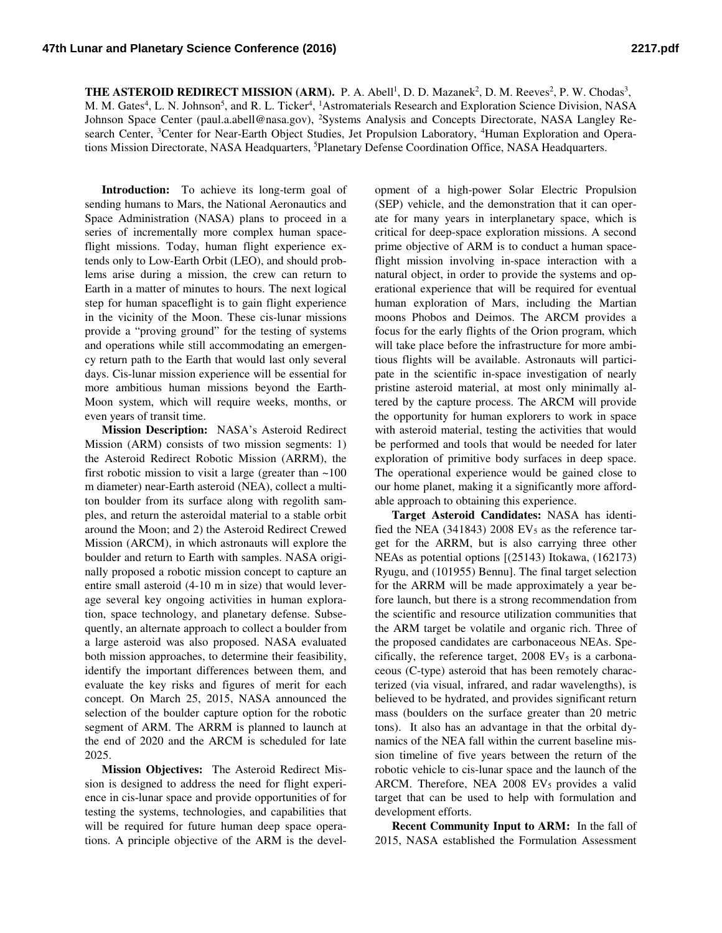**THE ASTEROID REDIRECT MISSION (ARM).** P. A. Abell<sup>1</sup>, D. D. Mazanek<sup>2</sup>, D. M. Reeves<sup>2</sup>, P. W. Chodas<sup>3</sup>, M. M. Gates<sup>4</sup>, L. N. Johnson<sup>5</sup>, and R. L. Ticker<sup>4</sup>, <sup>1</sup>Astromaterials Research and Exploration Science Division, NASA Johnson Space Center (paul.a.abell@nasa.gov), 2Systems Analysis and Concepts Directorate, NASA Langley Research Center, <sup>3</sup>Center for Near-Earth Object Studies, Jet Propulsion Laboratory, <sup>4</sup>Human Exploration and Operations Mission Directorate, NASA Headquarters, <sup>5</sup>Planetary Defense Coordination Office, NASA Headquarters.

**Introduction:** To achieve its long-term goal of sending humans to Mars, the National Aeronautics and Space Administration (NASA) plans to proceed in a series of incrementally more complex human spaceflight missions. Today, human flight experience extends only to Low-Earth Orbit (LEO), and should problems arise during a mission, the crew can return to Earth in a matter of minutes to hours. The next logical step for human spaceflight is to gain flight experience in the vicinity of the Moon. These cis-lunar missions provide a "proving ground" for the testing of systems and operations while still accommodating an emergency return path to the Earth that would last only several days. Cis-lunar mission experience will be essential for more ambitious human missions beyond the Earth-Moon system, which will require weeks, months, or even years of transit time.

**Mission Description:** NASA's Asteroid Redirect Mission (ARM) consists of two mission segments: 1) the Asteroid Redirect Robotic Mission (ARRM), the first robotic mission to visit a large (greater than  $\sim$ 100 m diameter) near-Earth asteroid (NEA), collect a multiton boulder from its surface along with regolith samples, and return the asteroidal material to a stable orbit around the Moon; and 2) the Asteroid Redirect Crewed Mission (ARCM), in which astronauts will explore the boulder and return to Earth with samples. NASA originally proposed a robotic mission concept to capture an entire small asteroid (4-10 m in size) that would leverage several key ongoing activities in human exploration, space technology, and planetary defense. Subsequently, an alternate approach to collect a boulder from a large asteroid was also proposed. NASA evaluated both mission approaches, to determine their feasibility, identify the important differences between them, and evaluate the key risks and figures of merit for each concept. On March 25, 2015, NASA announced the selection of the boulder capture option for the robotic segment of ARM. The ARRM is planned to launch at the end of 2020 and the ARCM is scheduled for late 2025.

**Mission Objectives:** The Asteroid Redirect Mission is designed to address the need for flight experience in cis-lunar space and provide opportunities of for testing the systems, technologies, and capabilities that will be required for future human deep space operations. A principle objective of the ARM is the devel-

opment of a high-power Solar Electric Propulsion (SEP) vehicle, and the demonstration that it can operate for many years in interplanetary space, which is critical for deep-space exploration missions. A second prime objective of ARM is to conduct a human spaceflight mission involving in-space interaction with a natural object, in order to provide the systems and operational experience that will be required for eventual human exploration of Mars, including the Martian moons Phobos and Deimos. The ARCM provides a focus for the early flights of the Orion program, which will take place before the infrastructure for more ambitious flights will be available. Astronauts will participate in the scientific in-space investigation of nearly pristine asteroid material, at most only minimally altered by the capture process. The ARCM will provide the opportunity for human explorers to work in space with asteroid material, testing the activities that would be performed and tools that would be needed for later exploration of primitive body surfaces in deep space. The operational experience would be gained close to our home planet, making it a significantly more affordable approach to obtaining this experience.

**Target Asteroid Candidates:** NASA has identified the NEA (341843) 2008 EV $_5$  as the reference target for the ARRM, but is also carrying three other NEAs as potential options [(25143) Itokawa, (162173) Ryugu, and (101955) Bennu]. The final target selection for the ARRM will be made approximately a year before launch, but there is a strong recommendation from the scientific and resource utilization communities that the ARM target be volatile and organic rich. Three of the proposed candidates are carbonaceous NEAs. Specifically, the reference target,  $2008$  EV<sub>5</sub> is a carbonaceous (C-type) asteroid that has been remotely characterized (via visual, infrared, and radar wavelengths), is believed to be hydrated, and provides significant return mass (boulders on the surface greater than 20 metric tons). It also has an advantage in that the orbital dynamics of the NEA fall within the current baseline mission timeline of five years between the return of the robotic vehicle to cis-lunar space and the launch of the ARCM. Therefore, NEA  $2008$  EV<sub>5</sub> provides a valid target that can be used to help with formulation and development efforts.

**Recent Community Input to ARM:** In the fall of 2015, NASA established the Formulation Assessment